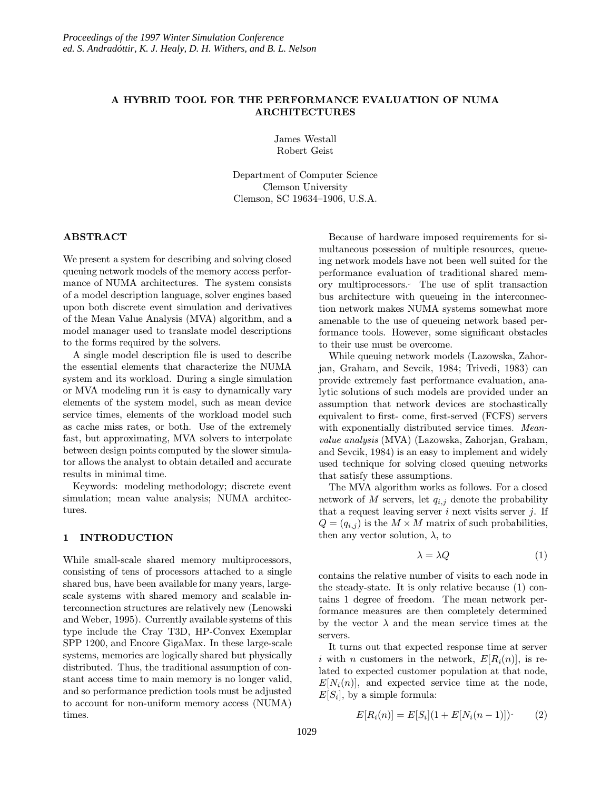### A HYBRID TOOL FOR THE PERFORMANCE EVALUATION OF NUMA ARCHITECTURES

James Westall Robert Geist

Department of Computer Science Clemson University Clemson, SC 19634–1906, U.S.A.

### ABSTRACT

We present a system for describing and solving closed queuing network models of the memory access performance of NUMA architectures. The system consists of a model description language, solver engines based upon both discrete event simulation and derivatives of the Mean Value Analysis (MVA) algorithm, and a model manager used to translate model descriptions to the forms required by the solvers.

A single model description file is used to describe the essential elements that characterize the NUMA system and its workload. During a single simulation or MVA modeling run it is easy to dynamically vary elements of the system model, such as mean device service times, elements of the workload model such as cache miss rates, or both. Use of the extremely fast, but approximating, MVA solvers to interpolate between design points computed by the slower simulator allows the analyst to obtain detailed and accurate results in minimal time.

Keywords: modeling methodology; discrete event simulation; mean value analysis; NUMA architectures.

# 1 INTRODUCTION

While small-scale shared memory multiprocessors, consisting of tens of processors attached to a single shared bus, have been available for many years, largescale systems with shared memory and scalable interconnection structures are relatively new (Lenowski and Weber, 1995). Currently available systems of this type include the Cray T3D, HP-Convex Exemplar SPP 1200, and Encore GigaMax. In these large-scale systems, memories are logically shared but physically distributed. Thus, the traditional assumption of constant access time to main memory is no longer valid, and so performance prediction tools must be adjusted to account for non-uniform memory access (NUMA) times.

Because of hardware imposed requirements for simultaneous possession of multiple resources, queueing network models have not been well suited for the performance evaluation of traditional shared memory multiprocessors. The use of split transaction bus architecture with queueing in the interconnection network makes NUMA systems somewhat more amenable to the use of queueing network based performance tools. However, some significant obstacles to their use must be overcome.

While queuing network models (Lazowska, Zahorjan, Graham, and Sevcik, 1984; Trivedi, 1983) can provide extremely fast performance evaluation, analytic solutions of such models are provided under an assumption that network devices are stochastically equivalent to first- come, first-served (FCFS) servers with exponentially distributed service times. Meanvalue analysis (MVA) (Lazowska, Zahorjan, Graham, and Sevcik, 1984) is an easy to implement and widely used technique for solving closed queuing networks that satisfy these assumptions.

The MVA algorithm works as follows. For a closed network of M servers, let  $q_{i,j}$  denote the probability that a request leaving server  $i$  next visits server  $j$ . If  $Q = (q_{i,j})$  is the  $M \times M$  matrix of such probabilities, then any vector solution,  $\lambda$ , to

$$
\lambda = \lambda Q \tag{1}
$$

contains the relative number of visits to each node in the steady-state. It is only relative because (1) contains 1 degree of freedom. The mean network performance measures are then completely determined by the vector  $\lambda$  and the mean service times at the servers.

It turns out that expected response time at server i with n customers in the network,  $E[R_i(n)]$ , is related to expected customer population at that node,  $E[N_i(n)]$ , and expected service time at the node,  $E[S_i]$ , by a simple formula:

$$
E[R_i(n)] = E[S_i](1 + E[N_i(n-1)])
$$
 (2)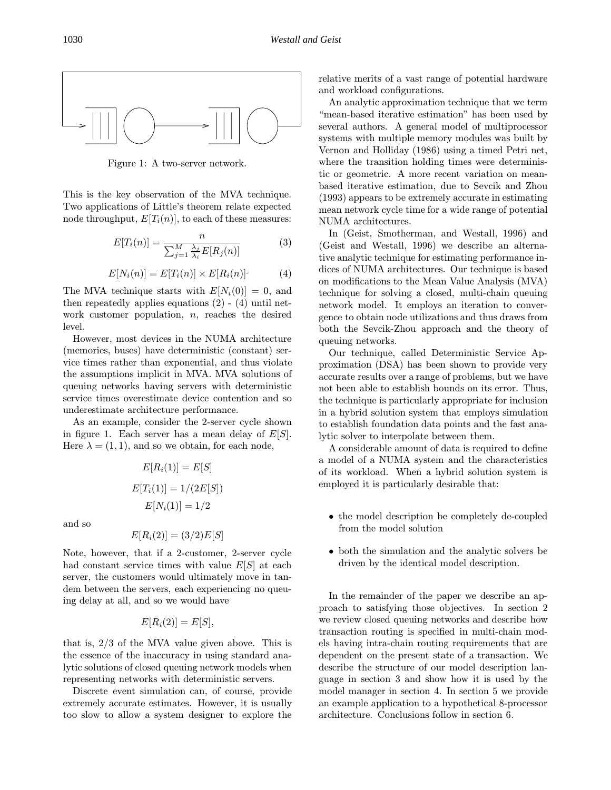

Figure 1: A two-server network.

This is the key observation of the MVA technique. Two applications of Little's theorem relate expected node throughput,  $E[T_i(n)]$ , to each of these measures:

$$
E[T_i(n)] = \frac{n}{\sum_{j=1}^{M} \frac{\lambda_j}{\lambda_i} E[R_j(n)]}
$$
(3)

$$
E[N_i(n)] = E[T_i(n)] \times E[R_i(n)] \qquad (4)
$$

The MVA technique starts with  $E[N_i(0)] = 0$ , and then repeatedly applies equations  $(2)$  -  $(4)$  until network customer population,  $n$ , reaches the desired level.

However, most devices in the NUMA architecture (memories, buses) have deterministic (constant) service times rather than exponential, and thus violate the assumptions implicit in MVA. MVA solutions of queuing networks having servers with deterministic service times overestimate device contention and so underestimate architecture performance.

As an example, consider the 2-server cycle shown in figure 1. Each server has a mean delay of  $E[S]$ . Here  $\lambda = (1, 1)$ , and so we obtain, for each node,

$$
E[R_i(1)] = E[S]
$$

$$
E[T_i(1)] = 1/(2E[S])
$$

$$
E[N_i(1)] = 1/2
$$

and so

$$
E[R_i(2)] = (3/2)E[S]
$$

Note, however, that if a 2-customer, 2-server cycle had constant service times with value  $E[S]$  at each server, the customers would ultimately move in tandem between the servers, each experiencing no queuing delay at all, and so we would have

$$
E[R_i(2)] = E[S],
$$

that is, 2/3 of the MVA value given above. This is the essence of the inaccuracy in using standard analytic solutions of closed queuing network models when representing networks with deterministic servers.

Discrete event simulation can, of course, provide extremely accurate estimates. However, it is usually too slow to allow a system designer to explore the relative merits of a vast range of potential hardware and workload configurations.

An analytic approximation technique that we term "mean-based iterative estimation" has been used by several authors. A general model of multiprocessor systems with multiple memory modules was built by Vernon and Holliday (1986) using a timed Petri net, where the transition holding times were deterministic or geometric. A more recent variation on meanbased iterative estimation, due to Sevcik and Zhou (1993) appears to be extremely accurate in estimating mean network cycle time for a wide range of potential NUMA architectures.

In (Geist, Smotherman, and Westall, 1996) and (Geist and Westall, 1996) we describe an alternative analytic technique for estimating performance indices of NUMA architectures. Our technique is based on modifications to the Mean Value Analysis (MVA) technique for solving a closed, multi-chain queuing network model. It employs an iteration to convergence to obtain node utilizations and thus draws from both the Sevcik-Zhou approach and the theory of queuing networks.

Our technique, called Deterministic Service Approximation (DSA) has been shown to provide very accurate results over a range of problems, but we have not been able to establish bounds on its error. Thus, the technique is particularly appropriate for inclusion in a hybrid solution system that employs simulation to establish foundation data points and the fast analytic solver to interpolate between them.

A considerable amount of data is required to define a model of a NUMA system and the characteristics of its workload. When a hybrid solution system is employed it is particularly desirable that:

- the model description be completely de-coupled from the model solution
- both the simulation and the analytic solvers be driven by the identical model description.

In the remainder of the paper we describe an approach to satisfying those objectives. In section 2 we review closed queuing networks and describe how transaction routing is specified in multi-chain models having intra-chain routing requirements that are dependent on the present state of a transaction. We describe the structure of our model description language in section 3 and show how it is used by the model manager in section 4. In section 5 we provide an example application to a hypothetical 8-processor architecture. Conclusions follow in section 6.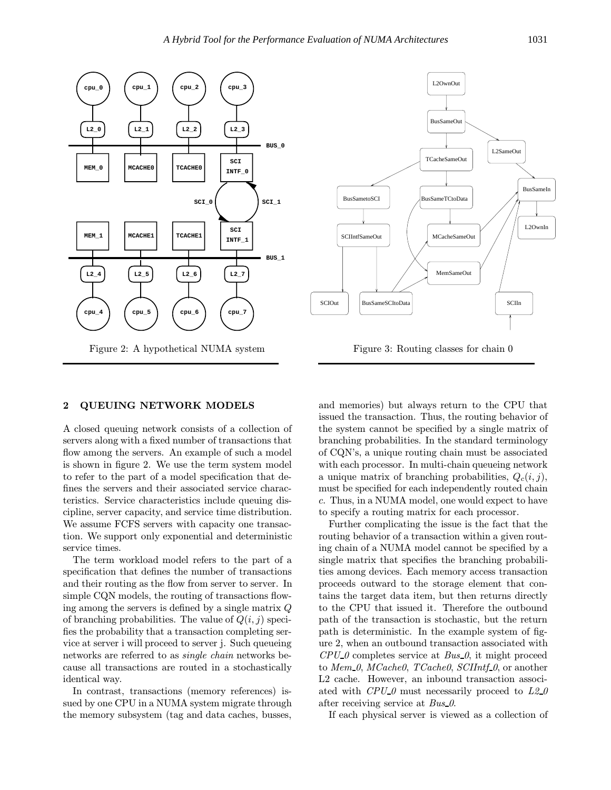

Figure 2: A hypothetical NUMA system



Figure 3: Routing classes for chain 0

# 2 QUEUING NETWORK MODELS

A closed queuing network consists of a collection of servers along with a fixed number of transactions that flow among the servers. An example of such a model is shown in figure 2. We use the term system model to refer to the part of a model specification that defines the servers and their associated service characteristics. Service characteristics include queuing discipline, server capacity, and service time distribution. We assume FCFS servers with capacity one transaction. We support only exponential and deterministic service times.

The term workload model refers to the part of a specification that defines the number of transactions and their routing as the flow from server to server. In simple CQN models, the routing of transactions flowing among the servers is defined by a single matrix Q of branching probabilities. The value of  $Q(i, j)$  specifies the probability that a transaction completing service at server i will proceed to server j. Such queueing networks are referred to as single chain networks because all transactions are routed in a stochastically identical way.

In contrast, transactions (memory references) issued by one CPU in a NUMA system migrate through the memory subsystem (tag and data caches, busses,

and memories) but always return to the CPU that issued the transaction. Thus, the routing behavior of the system cannot be specified by a single matrix of branching probabilities. In the standard terminology of CQN's, a unique routing chain must be associated with each processor. In multi-chain queueing network a unique matrix of branching probabilities,  $Q_c(i, j)$ , must be specified for each independently routed chain c. Thus, in a NUMA model, one would expect to have to specify a routing matrix for each processor.

Further complicating the issue is the fact that the routing behavior of a transaction within a given routing chain of a NUMA model cannot be specified by a single matrix that specifies the branching probabilities among devices. Each memory access transaction proceeds outward to the storage element that contains the target data item, but then returns directly to the CPU that issued it. Therefore the outbound path of the transaction is stochastic, but the return path is deterministic. In the example system of figure 2, when an outbound transaction associated with  $CPU_0$  completes service at  $Bus_0$ , it might proceed to Mem<sub>-0</sub>, MCache0, TCache0, SCIIntf<sub>-0</sub>, or another L2 cache. However, an inbound transaction associated with  $CPU_0$  must necessarily proceed to  $L2_0$ after receiving service at Bus 0.

If each physical server is viewed as a collection of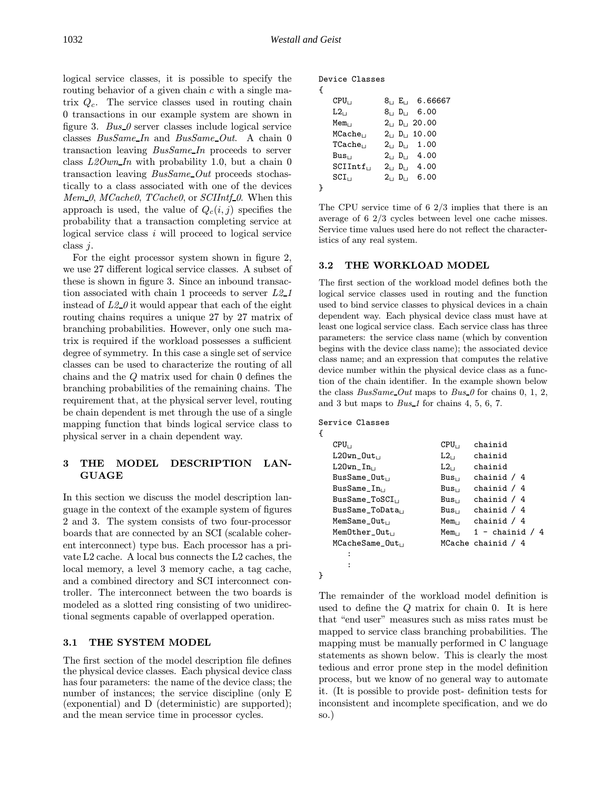logical service classes, it is possible to specify the routing behavior of a given chain  $c$  with a single matrix  $Q_c$ . The service classes used in routing chain 0 transactions in our example system are shown in figure 3.  $Bus_0$  server classes include logical service classes BusSame In and BusSame Out. A chain 0 transaction leaving *BusSame\_In* proceeds to server class  $L2Own\_In$  with probability 1.0, but a chain 0 transaction leaving *BusSame* Out proceeds stochastically to a class associated with one of the devices Mem 0, MCache0, TCache0, or SCIIntf 0. When this approach is used, the value of  $Q_c(i, j)$  specifies the probability that a transaction completing service at logical service class  $i$  will proceed to logical service class j.

For the eight processor system shown in figure 2, we use 27 different logical service classes. A subset of these is shown in figure 3. Since an inbound transaction associated with chain 1 proceeds to server L2 1 instead of  $L2_0$  it would appear that each of the eight routing chains requires a unique 27 by 27 matrix of branching probabilities. However, only one such matrix is required if the workload possesses a sufficient degree of symmetry. In this case a single set of service classes can be used to characterize the routing of all chains and the Q matrix used for chain 0 defines the branching probabilities of the remaining chains. The requirement that, at the physical server level, routing be chain dependent is met through the use of a single mapping function that binds logical service class to physical server in a chain dependent way.

# 3 THE MODEL DESCRIPTION LAN-GUAGE

In this section we discuss the model description language in the context of the example system of figures 2 and 3. The system consists of two four-processor boards that are connected by an SCI (scalable coherent interconnect) type bus. Each processor has a private L2 cache. A local bus connects the L2 caches, the local memory, a level 3 memory cache, a tag cache, and a combined directory and SCI interconnect controller. The interconnect between the two boards is modeled as a slotted ring consisting of two unidirectional segments capable of overlapped operation.

# 3.1 THE SYSTEM MODEL

The first section of the model description file defines the physical device classes. Each physical device class has four parameters: the name of the device class; the number of instances; the service discipline (only E (exponential) and D (deterministic) are supported); and the mean service time in processor cycles.

Device Classes

| $CPU_{++}$                     | 8 L E L                        | 6.66667 |
|--------------------------------|--------------------------------|---------|
| $L2_{\scriptscriptstyle\rm D}$ | 8 LED LE                       | 6.00    |
| Memar                          | $2_{11}$ D <sub>11</sub> 20.00 |         |
| MCache <sub>u</sub>            | $2_{11}$ D <sub>11</sub> 10.00 |         |
| $TCache_{11}$                  | $2_{11} D_{11} 1.00$           |         |
| Bus∩                           | $2_{11}$ D <sub>11</sub>       | 4.00    |
| $SCIIntf_{11}$                 | $2_{11}$ $D_{11}$              | 4.00    |
| $\mathtt{SCI}_{\cup}$          | $2_{11}$ $D_{11}$              | 6.00    |
|                                |                                |         |

The CPU service time of 6 2/3 implies that there is an average of 6 2/3 cycles between level one cache misses. Service time values used here do not reflect the characteristics of any real system.

## 3.2 THE WORKLOAD MODEL

The first section of the workload model defines both the logical service classes used in routing and the function used to bind service classes to physical devices in a chain dependent way. Each physical device class must have at least one logical service class. Each service class has three parameters: the service class name (which by convention begins with the device class name); the associated device class name; and an expression that computes the relative device number within the physical device class as a function of the chain identifier. In the example shown below the class  $BusSame\_Out$  maps to  $Bus\_0$  for chains 0, 1, 2, and 3 but maps to Bus 1 for chains 4, 5, 6, 7.

#### Service Classes

{

}

| $CPU_{++}$            | $CPU_{++}$       | chainid              |
|-----------------------|------------------|----------------------|
| L20wn_0ut…            | $L2_{\perp}$     | chainid              |
| $L20wn_In_{++}$       | $L2_{\perp}$     | chainid              |
| BusSame Out           | $Bus_{11}$       | chainid $/4$         |
| BusSame_In            | Bus <sub>u</sub> | chainid $/4$         |
| $BusSame\_TOSCI_{++}$ | Busıl            | chainid $/4$         |
| BusSame ToDatan       | $Bus_{11}$       | chainid $/4$         |
| $MemSame_Out_{++}$    | Mem i            | chainid $/4$         |
| MemOther Out.         | Mem              | $1 -$ chainid /<br>4 |
| $MCacheSame_Out_{11}$ |                  | MCache chainid / 4   |
|                       |                  |                      |
|                       |                  |                      |
|                       |                  |                      |
|                       |                  |                      |

The remainder of the workload model definition is used to define the Q matrix for chain 0. It is here that "end user" measures such as miss rates must be mapped to service class branching probabilities. The mapping must be manually performed in C language statements as shown below. This is clearly the most tedious and error prone step in the model definition process, but we know of no general way to automate it. (It is possible to provide post- definition tests for inconsistent and incomplete specification, and we do so.)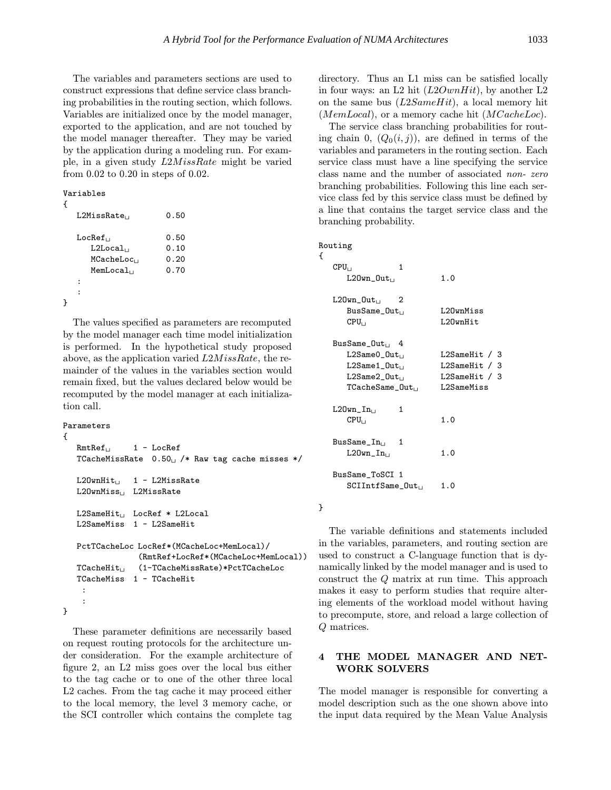The variables and parameters sections are used to construct expressions that define service class branching probabilities in the routing section, which follows. Variables are initialized once by the model manager, exported to the application, and are not touched by the model manager thereafter. They may be varied by the application during a modeling run. For example, in a given study L2MissRate might be varied from 0.02 to 0.20 in steps of 0.02.

#### Variables

```
{
```

```
L2MissRate_1 0.50
   LocRef_{11} 0.50
      L2Local<sub>U</sub> 0.10
      MCacheLoc<sub>□</sub> 0.20
      MemLocal<sub>\parallel</sub> 0.70
   :
   :
}
```
The values specified as parameters are recomputed by the model manager each time model initialization is performed. In the hypothetical study proposed above, as the application varied  $L2MissRate$ , the remainder of the values in the variables section would remain fixed, but the values declared below would be recomputed by the model manager at each initialization call.

### Parameters

```
{
   RmtRef_{11} 1 - LocRef
   TCacheMissRate 0.50<sub>u</sub> /* Raw tag cache misses */
   L20wnHit<sub>1 - L2MissRate</sub>
   L20wnMiss_U L2MissRate
   L2SameHit_{||} LocRef * L2Local
   L2SameMiss 1 - L2SameHit
   PctTCacheLoc LocRef*(MCacheLoc+MemLocal)/
                  (RmtRef+LocRef*(MCacheLoc+MemLocal))
   TCacheHit<sub>(1</sub> (1-TCacheMissRate)*PctTCacheLoc
   TCacheMiss 1 - TCacheHit
    :
    :
}
```
These parameter definitions are necessarily based on request routing protocols for the architecture under consideration. For the example architecture of figure 2, an L2 miss goes over the local bus either to the tag cache or to one of the other three local L2 caches. From the tag cache it may proceed either to the local memory, the level 3 memory cache, or the SCI controller which contains the complete tag directory. Thus an L1 miss can be satisfied locally in four ways: an L2 hit  $(L2OwnHit)$ , by another L2 on the same bus  $(L2SameHit)$ , a local memory hit  $(MemLocal)$ , or a memory cache hit  $(MCacheLoc)$ .

The service class branching probabilities for routing chain 0,  $(Q_0(i, j))$ , are defined in terms of the variables and parameters in the routing section. Each service class must have a line specifying the service class name and the number of associated non- zero branching probabilities. Following this line each service class fed by this service class must be defined by a line that contains the target service class and the branching probability.

```
Routing
```
{

| $CPU_{++}$<br>L20wn_0ut <sub>L</sub>                                                                   | 1  | 1.0                                                           |  |
|--------------------------------------------------------------------------------------------------------|----|---------------------------------------------------------------|--|
| $L20wn_0ut_{11}$<br>$BusSame_0$ ut<br>$CPU_{++}$                                                       | -2 | L20wnMiss<br>$I.20$ wn $Hi$ t.                                |  |
| $BusSame_0ut_{11}$ 4<br>$L2SameO_$ Uut<br>$L2Same1_0$ ut<br>$L2Same2_U$ ut<br>$TCacheSame\_Out_{\Box}$ |    | L2SameHit / 3<br>L2SameHit / 3<br>L2SameHit / 3<br>L2SameMiss |  |
| $L20wn_In_{11}$<br>$CPU_{++}$                                                                          | 1  | 1.0                                                           |  |
| $BusSame_In_{++}$<br>$L20$ wn $_$ In $_1$                                                              | 1  | 1.0                                                           |  |
| BusSame_ToSCI 1<br>$SCIIntfSame_0$ ut                                                                  |    | 1.0                                                           |  |

}

The variable definitions and statements included in the variables, parameters, and routing section are used to construct a C-language function that is dynamically linked by the model manager and is used to construct the Q matrix at run time. This approach makes it easy to perform studies that require altering elements of the workload model without having to precompute, store, and reload a large collection of Q matrices.

## 4 THE MODEL MANAGER AND NET-WORK SOLVERS

The model manager is responsible for converting a model description such as the one shown above into the input data required by the Mean Value Analysis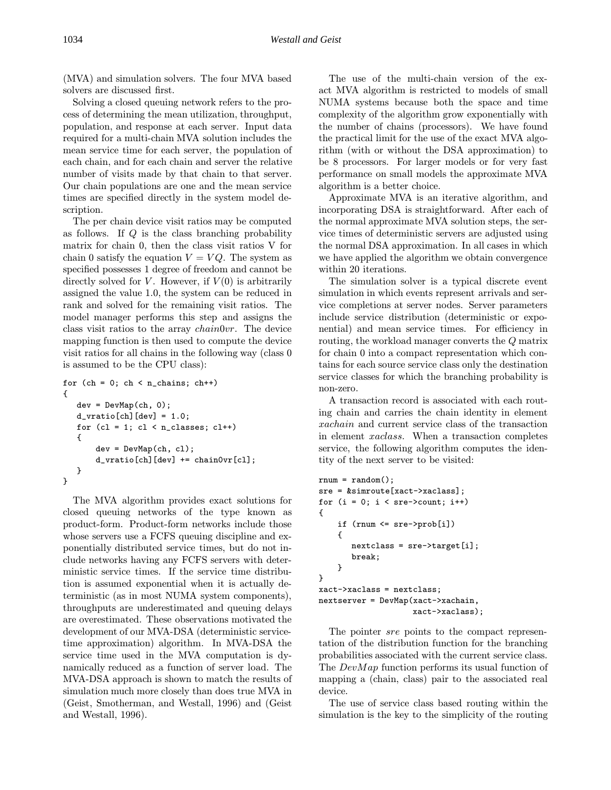(MVA) and simulation solvers. The four MVA based solvers are discussed first.

Solving a closed queuing network refers to the process of determining the mean utilization, throughput, population, and response at each server. Input data required for a multi-chain MVA solution includes the mean service time for each server, the population of each chain, and for each chain and server the relative number of visits made by that chain to that server. Our chain populations are one and the mean service times are specified directly in the system model description.

The per chain device visit ratios may be computed as follows. If Q is the class branching probability matrix for chain 0, then the class visit ratios V for chain 0 satisfy the equation  $V = VQ$ . The system as specified possesses 1 degree of freedom and cannot be directly solved for V. However, if  $V(0)$  is arbitrarily assigned the value 1.0, the system can be reduced in rank and solved for the remaining visit ratios. The model manager performs this step and assigns the class visit ratios to the array chain0vr. The device mapping function is then used to compute the device visit ratios for all chains in the following way (class 0 is assumed to be the CPU class):

```
for (ch = 0; ch < n_{chains}; ch++){
   dev = DevMap(ch, 0);d_vratio[ch][dev] = 1.0;for (cl = 1; cl < n_c classes; cl++){
       dev = DevMap(ch, cl);
       d_vratio[ch][dev] += chain0vr[cl];
   }
}
```
The MVA algorithm provides exact solutions for closed queuing networks of the type known as product-form. Product-form networks include those whose servers use a FCFS queuing discipline and exponentially distributed service times, but do not include networks having any FCFS servers with deterministic service times. If the service time distribution is assumed exponential when it is actually deterministic (as in most NUMA system components), throughputs are underestimated and queuing delays are overestimated. These observations motivated the development of our MVA-DSA (deterministic servicetime approximation) algorithm. In MVA-DSA the service time used in the MVA computation is dynamically reduced as a function of server load. The MVA-DSA approach is shown to match the results of simulation much more closely than does true MVA in (Geist, Smotherman, and Westall, 1996) and (Geist and Westall, 1996).

The use of the multi-chain version of the exact MVA algorithm is restricted to models of small NUMA systems because both the space and time complexity of the algorithm grow exponentially with the number of chains (processors). We have found the practical limit for the use of the exact MVA algorithm (with or without the DSA approximation) to be 8 processors. For larger models or for very fast performance on small models the approximate MVA algorithm is a better choice.

Approximate MVA is an iterative algorithm, and incorporating DSA is straightforward. After each of the normal approximate MVA solution steps, the service times of deterministic servers are adjusted using the normal DSA approximation. In all cases in which we have applied the algorithm we obtain convergence within 20 iterations.

The simulation solver is a typical discrete event simulation in which events represent arrivals and service completions at server nodes. Server parameters include service distribution (deterministic or exponential) and mean service times. For efficiency in routing, the workload manager converts the Q matrix for chain 0 into a compact representation which contains for each source service class only the destination service classes for which the branching probability is non-zero.

A transaction record is associated with each routing chain and carries the chain identity in element xachain and current service class of the transaction in element xaclass. When a transaction completes service, the following algorithm computes the identity of the next server to be visited:

```
rnum = random();
sre = &simroute[xact->xaclass];
for (i = 0; i < sre->count; i++){
    if (rnum <= sre->prob[i])
    {
       nextclass = sre->target[i];
       break;
    }
}
xact->xaclass = nextclass;
nextserver = DevMap(xact->xachain,
                    xact->xaclass);
```
The pointer *sre* points to the compact representation of the distribution function for the branching probabilities associated with the current service class. The DevMap function performs its usual function of mapping a (chain, class) pair to the associated real device.

The use of service class based routing within the simulation is the key to the simplicity of the routing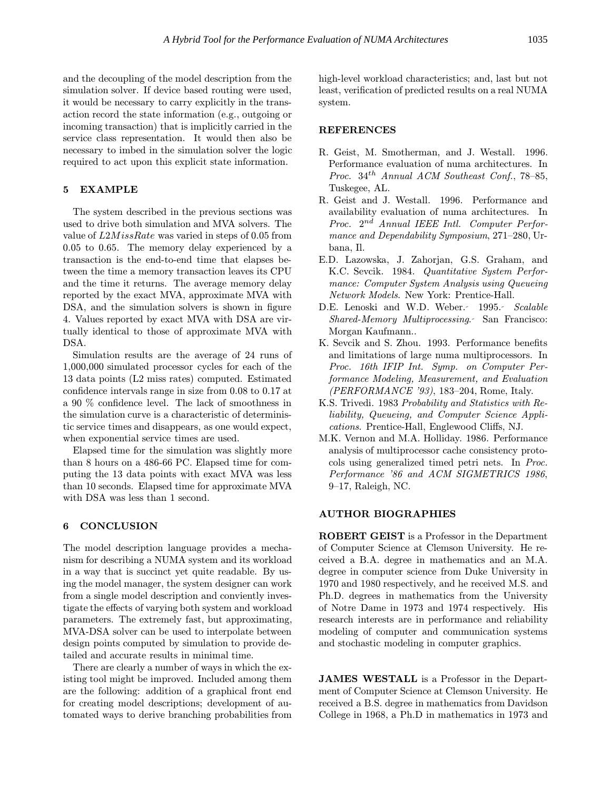and the decoupling of the model description from the simulation solver. If device based routing were used, it would be necessary to carry explicitly in the transaction record the state information (e.g., outgoing or incoming transaction) that is implicitly carried in the service class representation. It would then also be necessary to imbed in the simulation solver the logic required to act upon this explicit state information.

# 5 EXAMPLE

The system described in the previous sections was used to drive both simulation and MVA solvers. The value of L2MissRate was varied in steps of 0.05 from 0.05 to 0.65. The memory delay experienced by a transaction is the end-to-end time that elapses between the time a memory transaction leaves its CPU and the time it returns. The average memory delay reported by the exact MVA, approximate MVA with DSA, and the simulation solvers is shown in figure 4. Values reported by exact MVA with DSA are virtually identical to those of approximate MVA with DSA.

Simulation results are the average of 24 runs of 1,000,000 simulated processor cycles for each of the 13 data points (L2 miss rates) computed. Estimated confidence intervals range in size from 0.08 to 0.17 at a 90 % confidence level. The lack of smoothness in the simulation curve is a characteristic of deterministic service times and disappears, as one would expect, when exponential service times are used.

Elapsed time for the simulation was slightly more than 8 hours on a 486-66 PC. Elapsed time for computing the 13 data points with exact MVA was less than 10 seconds. Elapsed time for approximate MVA with DSA was less than 1 second.

## 6 CONCLUSION

The model description language provides a mechanism for describing a NUMA system and its workload in a way that is succinct yet quite readable. By using the model manager, the system designer can work from a single model description and conviently investigate the effects of varying both system and workload parameters. The extremely fast, but approximating, MVA-DSA solver can be used to interpolate between design points computed by simulation to provide detailed and accurate results in minimal time.

There are clearly a number of ways in which the existing tool might be improved. Included among them are the following: addition of a graphical front end for creating model descriptions; development of automated ways to derive branching probabilities from high-level workload characteristics; and, last but not least, verification of predicted results on a real NUMA system.

# REFERENCES

- R. Geist, M. Smotherman, and J. Westall. 1996. Performance evaluation of numa architectures. In Proc. 34<sup>th</sup> Annual ACM Southeast Conf., 78-85, Tuskegee, AL.
- R. Geist and J. Westall. 1996. Performance and availability evaluation of numa architectures. In Proc.  $2^{nd}$  Annual IEEE Intl. Computer Performance and Dependability Symposium, 271–280, Urbana, Il.
- E.D. Lazowska, J. Zahorjan, G.S. Graham, and K.C. Sevcik. 1984. Quantitative System Performance: Computer System Analysis using Queueing Network Models. New York: Prentice-Hall.
- D.E. Lenoski and W.D. Weber. 1995. Scalable Shared-Memory Multiprocessing. San Francisco: Morgan Kaufmann..
- K. Sevcik and S. Zhou. 1993. Performance benefits and limitations of large numa multiprocessors. In Proc. 16th IFIP Int. Symp. on Computer Performance Modeling, Measurement, and Evaluation (PERFORMANCE '93), 183–204, Rome, Italy.
- K.S. Trivedi. 1983 Probability and Statistics with Reliability, Queueing, and Computer Science Applications. Prentice-Hall, Englewood Cliffs, NJ.
- M.K. Vernon and M.A. Holliday. 1986. Performance analysis of multiprocessor cache consistency protocols using generalized timed petri nets. In Proc. Performance '86 and ACM SIGMETRICS 1986, 9–17, Raleigh, NC.

### AUTHOR BIOGRAPHIES

ROBERT GEIST is a Professor in the Department of Computer Science at Clemson University. He received a B.A. degree in mathematics and an M.A. degree in computer science from Duke University in 1970 and 1980 respectively, and he received M.S. and Ph.D. degrees in mathematics from the University of Notre Dame in 1973 and 1974 respectively. His research interests are in performance and reliability modeling of computer and communication systems and stochastic modeling in computer graphics.

JAMES WESTALL is a Professor in the Department of Computer Science at Clemson University. He received a B.S. degree in mathematics from Davidson College in 1968, a Ph.D in mathematics in 1973 and